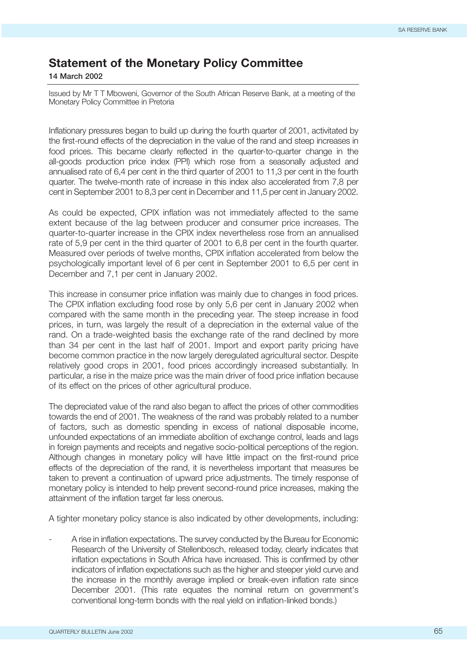## **Statement of the Monetary Policy Committee**

**14 March 2002**

Issued by Mr T T Mboweni, Governor of the South African Reserve Bank, at a meeting of the Monetary Policy Committee in Pretoria

Inflationary pressures began to build up during the fourth quarter of 2001, activitated by the first-round effects of the depreciation in the value of the rand and steep increases in food prices. This became clearly reflected in the quarter-to-quarter change in the all-goods production price index (PPI) which rose from a seasonally adjusted and annualised rate of 6,4 per cent in the third quarter of 2001 to 11,3 per cent in the fourth quarter. The twelve-month rate of increase in this index also accelerated from 7,8 per cent in September 2001 to 8,3 per cent in December and 11,5 per cent in January 2002.

As could be expected, CPIX inflation was not immediately affected to the same extent because of the lag between producer and consumer price increases. The quarter-to-quarter increase in the CPIX index nevertheless rose from an annualised rate of 5,9 per cent in the third quarter of 2001 to 6,8 per cent in the fourth quarter. Measured over periods of twelve months, CPIX inflation accelerated from below the psychologically important level of 6 per cent in September 2001 to 6,5 per cent in December and 7,1 per cent in January 2002.

This increase in consumer price inflation was mainly due to changes in food prices. The CPIX inflation excluding food rose by only 5,6 per cent in January 2002 when compared with the same month in the preceding year. The steep increase in food prices, in turn, was largely the result of a depreciation in the external value of the rand. On a trade-weighted basis the exchange rate of the rand declined by more than 34 per cent in the last half of 2001. Import and export parity pricing have become common practice in the now largely deregulated agricultural sector. Despite relatively good crops in 2001, food prices accordingly increased substantially. In particular, a rise in the maize price was the main driver of food price inflation because of its effect on the prices of other agricultural produce.

The depreciated value of the rand also began to affect the prices of other commodities towards the end of 2001. The weakness of the rand was probably related to a number of factors, such as domestic spending in excess of national disposable income, unfounded expectations of an immediate abolition of exchange control, leads and lags in foreign payments and receipts and negative socio-political perceptions of the region. Although changes in monetary policy will have little impact on the first-round price effects of the depreciation of the rand, it is nevertheless important that measures be taken to prevent a continuation of upward price adjustments. The timely response of monetary policy is intended to help prevent second-round price increases, making the attainment of the inflation target far less onerous.

A tighter monetary policy stance is also indicated by other developments, including:

- A rise in inflation expectations. The survey conducted by the Bureau for Economic Research of the University of Stellenbosch, released today, clearly indicates that inflation expectations in South Africa have increased. This is confirmed by other indicators of inflation expectations such as the higher and steeper yield curve and the increase in the monthly average implied or break-even inflation rate since December 2001. (This rate equates the nominal return on government's conventional long-term bonds with the real yield on inflation-linked bonds.)